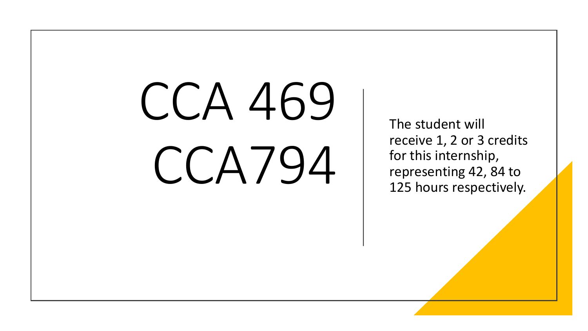# CCA 469 CCA794

The student will receive 1, 2 or 3 credits for this internship, representing 42, 84 to 125 hours respectively.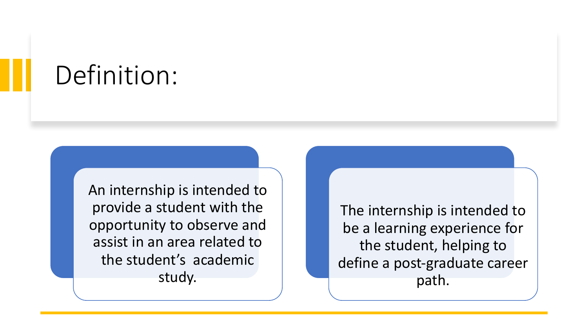#### Definition:

An internship is intended to provide a student with the opportunity to observe and assist in an area related to the student's academic study.

The internship is intended to be a learning experience for the student, helping to define a post-graduate career path.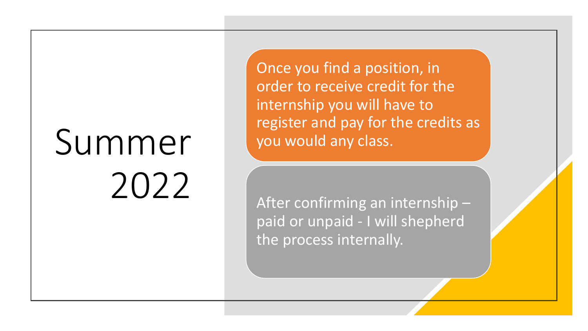## Summer 2022

Once you find a position, in order to receive credit for the internship you will have to register and pay for the credits as you would any class.

After confirming an internship – paid or unpaid - I will shepherd the process internally.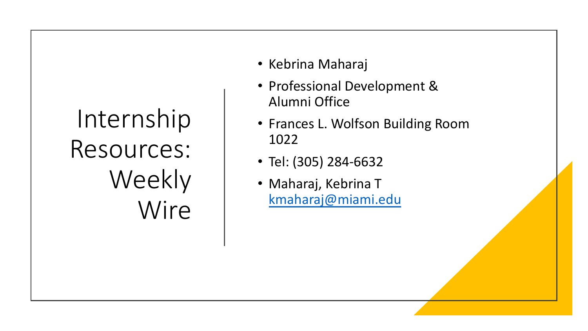### Internship Resources: Weekly Wire

- Kebrina Maharaj
- Professional Deve Alumni Office
- Frances L. Wolfson 1022
- Tel: (305) 284-663
- Maharaj, Kebrina kmaharaj@miami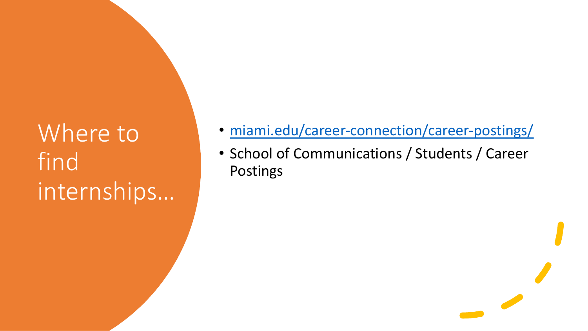#### Where to find internships…

- miami.edu/career-con
- School of Communicat Postings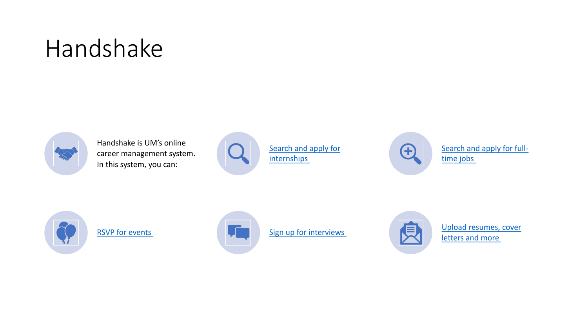#### Handshake



Handshake is UM's online career management system. In this system, you can:







RSVP for events  $\left\| \cdot \right\|$  Sign up for interviews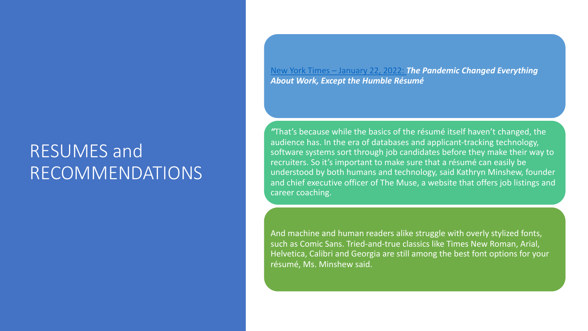#### RESUMES and RECOMMENDATIONS

New York Times – January 22, 2022: *The Pandemic Changed Everything*  About Work, Except the Hui

"That's because while the ba audience has. In the era of database software systems sort through recruiters. So it's important understood by both humans and chief executive officer of career coaching.

And machine and human rea such as Comic Sans. Tried-ar Helvetica, Calibri and Georg résumé, Ms. Minshew said.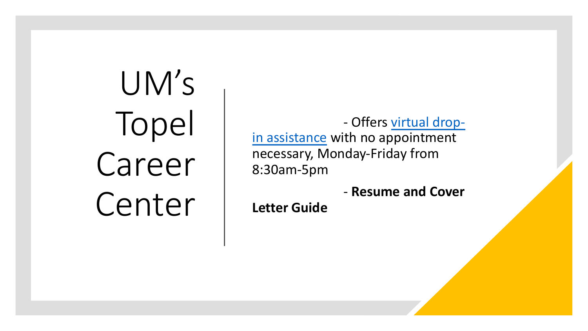UM's Topel Career Center

- Offe in assistance with no necessary, Monday-F 8:30am-5pm

- **Res** 

**Letter Guide**